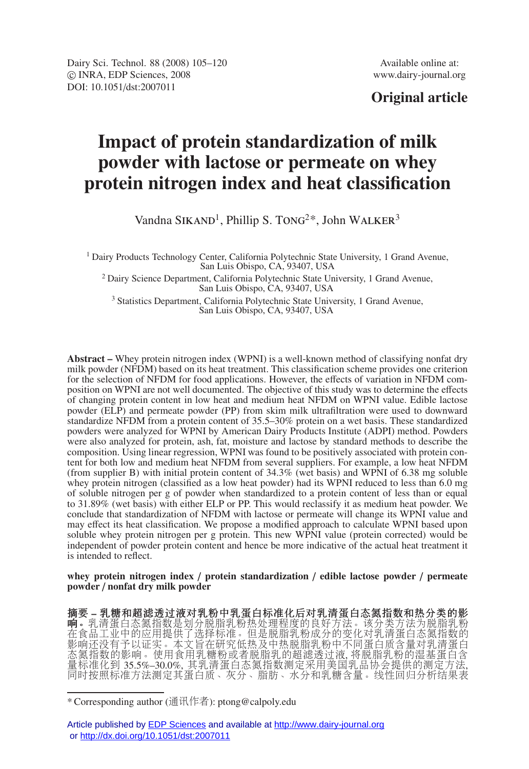# **Original article**

# **Impact of protein standardization of milk powder with lactose or permeate on whey protein nitrogen index and heat classification**

Vandna SIKAND<sup>1</sup>, Phillip S. TONG<sup>2\*</sup>, John WALKER<sup>3</sup>

<sup>1</sup> Dairy Products Technology Center, California Polytechnic State University, 1 Grand Avenue, San Luis Obispo, CA, 93407, USA

<sup>2</sup> Dairy Science Department, California Polytechnic State University, 1 Grand Avenue, San Luis Obispo, CA, 93407, USA

<sup>3</sup> Statistics Department, California Polytechnic State University, 1 Grand Avenue, San Luis Obispo, CA, 93407, USA

**Abstract –** Whey protein nitrogen index (WPNI) is a well-known method of classifying nonfat dry milk powder (NFDM) based on its heat treatment. This classification scheme provides one criterion for the selection of NFDM for food applications. However, the effects of variation in NFDM composition on WPNI are not well documented. The objective of this study was to determine the effects of changing protein content in low heat and medium heat NFDM on WPNI value. Edible lactose powder (ELP) and permeate powder (PP) from skim milk ultrafiltration were used to downward standardize NFDM from a protein content of 35.5–30% protein on a wet basis. These standardized powders were analyzed for WPNI by American Dairy Products Institute (ADPI) method. Powders were also analyzed for protein, ash, fat, moisture and lactose by standard methods to describe the composition. Using linear regression, WPNI was found to be positively associated with protein content for both low and medium heat NFDM from several suppliers. For example, a low heat NFDM (from supplier B) with initial protein content of 34.3% (wet basis) and WPNI of 6.38 mg soluble whey protein nitrogen (classified as a low heat powder) had its WPNI reduced to less than 6.0 mg of soluble nitrogen per g of powder when standardized to a protein content of less than or equal to 31.89% (wet basis) with either ELP or PP. This would reclassify it as medium heat powder. We conclude that standardization of NFDM with lactose or permeate will change its WPNI value and may effect its heat classification. We propose a modified approach to calculate WPNI based upon soluble whey protein nitrogen per g protein. This new WPNI value (protein corrected) would be independent of powder protein content and hence be more indicative of the actual heat treatment it is intended to reflect.

**whey protein nitrogen index** / **protein standardization** / **edible lactose powder** / **permeate powder** / **nonfat dry milk powder**

摘要 **–** 乳糖和超滤透过液对乳粉中乳蛋白标准化后对乳清蛋白态氮指数和热分类的影 响。乳清蛋白态氮指数是划分脱脂乳粉热处理程度的良好方法。该分类方法为脱脂乳粉 在食品工业中的应用提供了选择标准。但是脱脂乳粉成分的变化对乳清蛋白态氮指数的 影响还没有予以证实。本文旨在研究低热及中热脱脂乳粉中不同蛋白质含量对乳清蛋白 态氮指数的影响。使用食用乳糖粉或者脱脂乳的超滤透过液, 将脱脂乳粉的湿基蛋白含 量标准化到 35.5%–30.0%, 其乳清蛋白态氮指数测定采用美国乳品协会提供的测定方法, 同时按照标准方法测定其蛋白质、灰分、脂肪、水分和乳糖含量。线性回归分析结果表

<sup>\*</sup> Corresponding author (通讯作者): ptong@calpoly.edu

Article published by **EDP Sciences** and available at <http://www.dairy-journal.org> or<http://dx.doi.org/10.1051/dst:2007011>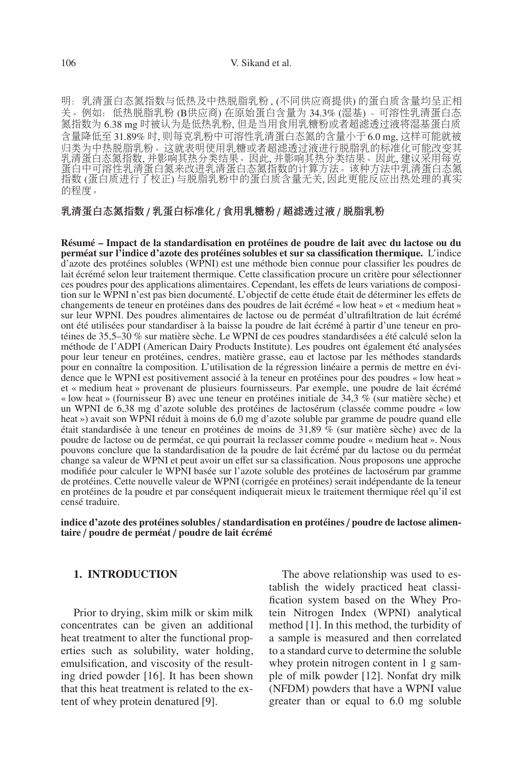明:乳清蛋白态氮指数与低热及中热脱脂乳粉 , (不同供应商提供) 的蛋白质含量均呈正相 关。例如:低热脱脂乳粉 (B供应商) 在原始蛋白含量为 34.3% (湿基) 、可溶性乳清蛋白态 氮指数为 6.38 mg 时被认为是低热乳粉, 但是当用食用乳糖粉或者超滤透过液将湿基蛋白质 含量降低至 31.89% 时, 则每克乳粉中可溶性乳清蛋白态氮的含量小于6.0 mg, 这样可能就被 归类为中热脱脂乳粉。这就表明使用乳糖或者超滤透过液进行脱脂乳的标准化可能改变其 乳清蛋白态氮指数, 并影响其热分类结果。因此, 并影响其热分类结果。因此, 建议采用每克 蛋白中可溶性乳清蛋白氮来改进乳清蛋白态氮指数的计算方法。该种方法中乳清蛋白态氮 指数 (蛋白质进行了校正) 与脱脂乳粉中的蛋白质含量无关, 因此更能反应出热处理的真实 的程度。

#### 乳清蛋白态氮指数 / 乳蛋白标准化 / 食用乳糖粉 / 超滤透过液 / 脱脂乳粉

**Résumé – Impact de la standardisation en protéines de poudre de lait avec du lactose ou du perméat sur l'indice d'azote des protéines solubles et sur sa classification thermique.** L'indice d'azote des protéines solubles (WPNI) est une méthode bien connue pour classifier les poudres de lait écrémé selon leur traitement thermique. Cette classification procure un critère pour sélectionner ces poudres pour des applications alimentaires. Cependant, les effets de leurs variations de composition sur le WPNI n'est pas bien documenté. L'objectif de cette étude était de déterminer les effets de changements de teneur en protéines dans des poudres de lait écrémé « low heat » et « medium heat » sur leur WPNI. Des poudres alimentaires de lactose ou de perméat d'ultrafiltration de lait écrémé ont été utilisées pour standardiser à la baisse la poudre de lait écrémé à partir d'une teneur en protéines de 35,5–30 % sur matière sèche. Le WPNI de ces poudres standardisées a été calculé selon la méthode de l'ADPI (American Dairy Products Institute). Les poudres ont également été analysées pour leur teneur en protéines, cendres, matière grasse, eau et lactose par les méthodes standards pour en connaître la composition. L'utilisation de la régression linéaire a permis de mettre en évidence que le WPNI est positivement associé à la teneur en protéines pour des poudres « low heat » et « medium heat » provenant de plusieurs fournisseurs. Par exemple, une poudre de lait écrémé « low heat » (fournisseur B) avec une teneur en protéines initiale de 34,3  $\%$  (sur matière sèche) et un WPNI de 6,38 mg d'azote soluble des protéines de lactosérum (classée comme poudre « low heat ») avait son WPNI réduit à moins de 6,0 mg d'azote soluble par gramme de poudre quand elle était standardisée à une teneur en protéines de moins de 31,89 % (sur matière sèche) avec de la poudre de lactose ou de perméat, ce qui pourrait la reclasser comme poudre « medium heat ». Nous pouvons conclure que la standardisation de la poudre de lait écrémé par du lactose ou du perméat change sa valeur de WPNI et peut avoir un effet sur sa classification. Nous proposons une approche modifiée pour calculer le WPNI basée sur l'azote soluble des protéines de lactosérum par gramme de protéines. Cette nouvelle valeur de WPNI (corrigée en protéines) serait indépendante de la teneur en protéines de la poudre et par conséquent indiquerait mieux le traitement thermique réel qu'il est censé traduire.

#### **indice d'azote des protéines solubles** / **standardisation en protéines** / **poudre de lactose alimentaire** / **poudre de perméat** / **poudre de lait écrémé**

# **1. INTRODUCTION**

Prior to drying, skim milk or skim milk concentrates can be given an additional heat treatment to alter the functional properties such as solubility, water holding, emulsification, and viscosity of the resulting dried powder [16]. It has been shown that this heat treatment is related to the extent of whey protein denatured [9].

The above relationship was used to establish the widely practiced heat classification system based on the Whey Protein Nitrogen Index (WPNI) analytical method [1]. In this method, the turbidity of a sample is measured and then correlated to a standard curve to determine the soluble whey protein nitrogen content in 1 g sample of milk powder [12]. Nonfat dry milk (NFDM) powders that have a WPNI value greater than or equal to 6.0 mg soluble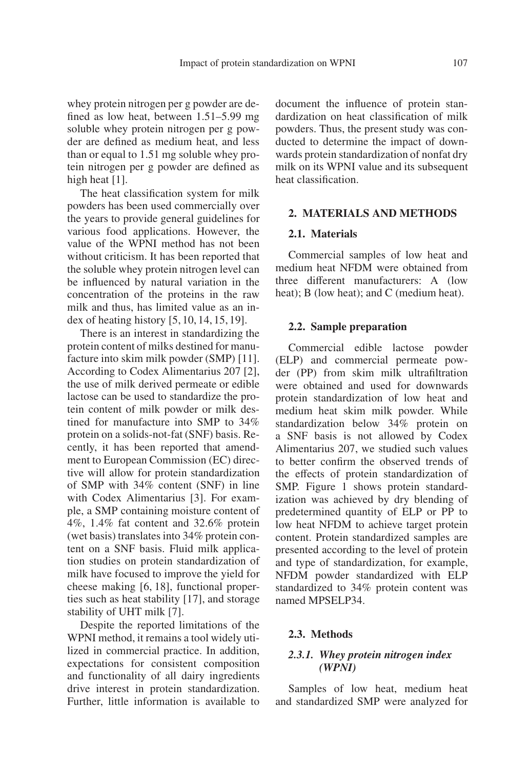whey protein nitrogen per g powder are defined as low heat, between 1.51–5.99 mg soluble whey protein nitrogen per g powder are defined as medium heat, and less than or equal to 1.51 mg soluble whey protein nitrogen per g powder are defined as high heat [1].

The heat classification system for milk powders has been used commercially over the years to provide general guidelines for various food applications. However, the value of the WPNI method has not been without criticism. It has been reported that the soluble whey protein nitrogen level can be influenced by natural variation in the concentration of the proteins in the raw milk and thus, has limited value as an index of heating history [5, 10, 14, 15, 19].

There is an interest in standardizing the protein content of milks destined for manufacture into skim milk powder (SMP) [11]. According to Codex Alimentarius 207 [2], the use of milk derived permeate or edible lactose can be used to standardize the protein content of milk powder or milk destined for manufacture into SMP to 34% protein on a solids-not-fat (SNF) basis. Recently, it has been reported that amendment to European Commission (EC) directive will allow for protein standardization of SMP with 34% content (SNF) in line with Codex Alimentarius [3]. For example, a SMP containing moisture content of 4%, 1.4% fat content and 32.6% protein (wet basis) translates into 34% protein content on a SNF basis. Fluid milk application studies on protein standardization of milk have focused to improve the yield for cheese making [6, 18], functional properties such as heat stability [17], and storage stability of UHT milk [7].

Despite the reported limitations of the WPNI method, it remains a tool widely utilized in commercial practice. In addition, expectations for consistent composition and functionality of all dairy ingredients drive interest in protein standardization. Further, little information is available to document the influence of protein standardization on heat classification of milk powders. Thus, the present study was conducted to determine the impact of downwards protein standardization of nonfat dry milk on its WPNI value and its subsequent heat classification.

#### **2. MATERIALS AND METHODS**

# **2.1. Materials**

Commercial samples of low heat and medium heat NFDM were obtained from three different manufacturers: A (low heat); B (low heat); and C (medium heat).

#### **2.2. Sample preparation**

Commercial edible lactose powder (ELP) and commercial permeate powder (PP) from skim milk ultrafiltration were obtained and used for downwards protein standardization of low heat and medium heat skim milk powder. While standardization below 34% protein on a SNF basis is not allowed by Codex Alimentarius 207, we studied such values to better confirm the observed trends of the effects of protein standardization of SMP. Figure 1 shows protein standardization was achieved by dry blending of predetermined quantity of ELP or PP to low heat NFDM to achieve target protein content. Protein standardized samples are presented according to the level of protein and type of standardization, for example, NFDM powder standardized with ELP standardized to 34% protein content was named MPSELP34.

#### **2.3. Methods**

#### *2.3.1. Whey protein nitrogen index (WPNI)*

Samples of low heat, medium heat and standardized SMP were analyzed for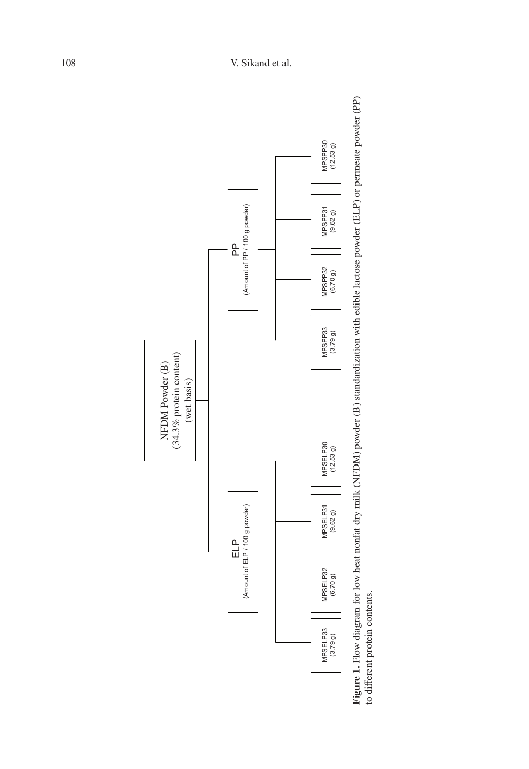

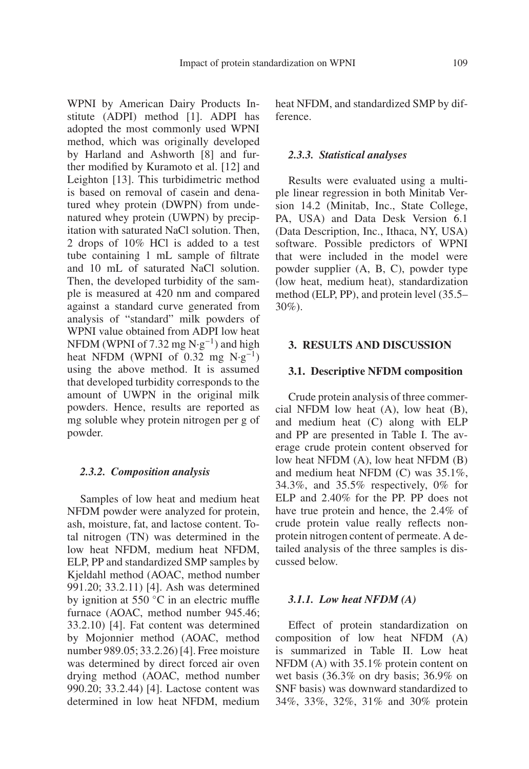WPNI by American Dairy Products Institute (ADPI) method [1]. ADPI has adopted the most commonly used WPNI method, which was originally developed by Harland and Ashworth [8] and further modified by Kuramoto et al. [12] and Leighton [13]. This turbidimetric method is based on removal of casein and denatured whey protein (DWPN) from undenatured whey protein (UWPN) by precipitation with saturated NaCl solution. Then, 2 drops of 10% HCl is added to a test tube containing 1 mL sample of filtrate and 10 mL of saturated NaCl solution. Then, the developed turbidity of the sample is measured at 420 nm and compared against a standard curve generated from analysis of "standard" milk powders of WPNI value obtained from ADPI low heat NFDM (WPNI of 7.32 mg N·g<sup>-1</sup>) and high heat NFDM (WPNI of 0.32 mg N·g<sup>-1</sup>) using the above method. It is assumed that developed turbidity corresponds to the amount of UWPN in the original milk powders. Hence, results are reported as mg soluble whey protein nitrogen per g of powder.

# *2.3.2. Composition analysis*

Samples of low heat and medium heat NFDM powder were analyzed for protein, ash, moisture, fat, and lactose content. Total nitrogen (TN) was determined in the low heat NFDM, medium heat NFDM, ELP, PP and standardized SMP samples by Kjeldahl method (AOAC, method number 991.20; 33.2.11) [4]. Ash was determined by ignition at 550  $°C$  in an electric muffle furnace (AOAC, method number 945.46; 33.2.10) [4]. Fat content was determined by Mojonnier method (AOAC, method number 989.05; 33.2.26) [4]. Free moisture was determined by direct forced air oven drying method (AOAC, method number 990.20; 33.2.44) [4]. Lactose content was determined in low heat NFDM, medium heat NFDM, and standardized SMP by difference.

#### *2.3.3. Statistical analyses*

Results were evaluated using a multiple linear regression in both Minitab Version 14.2 (Minitab, Inc., State College, PA, USA) and Data Desk Version 6.1 (Data Description, Inc., Ithaca, NY, USA) software. Possible predictors of WPNI that were included in the model were powder supplier (A, B, C), powder type (low heat, medium heat), standardization method (ELP, PP), and protein level (35.5– 30%).

#### **3. RESULTS AND DISCUSSION**

#### **3.1. Descriptive NFDM composition**

Crude protein analysis of three commercial NFDM low heat (A), low heat (B), and medium heat (C) along with ELP and PP are presented in Table I. The average crude protein content observed for low heat NFDM (A), low heat NFDM (B) and medium heat NFDM (C) was 35.1%, 34.3%, and 35.5% respectively, 0% for ELP and 2.40% for the PP. PP does not have true protein and hence, the 2.4% of crude protein value really reflects nonprotein nitrogen content of permeate. A detailed analysis of the three samples is discussed below.

#### *3.1.1. Low heat NFDM (A)*

Effect of protein standardization on composition of low heat NFDM (A) is summarized in Table II. Low heat NFDM (A) with 35.1% protein content on wet basis (36.3% on dry basis; 36.9% on SNF basis) was downward standardized to 34%, 33%, 32%, 31% and 30% protein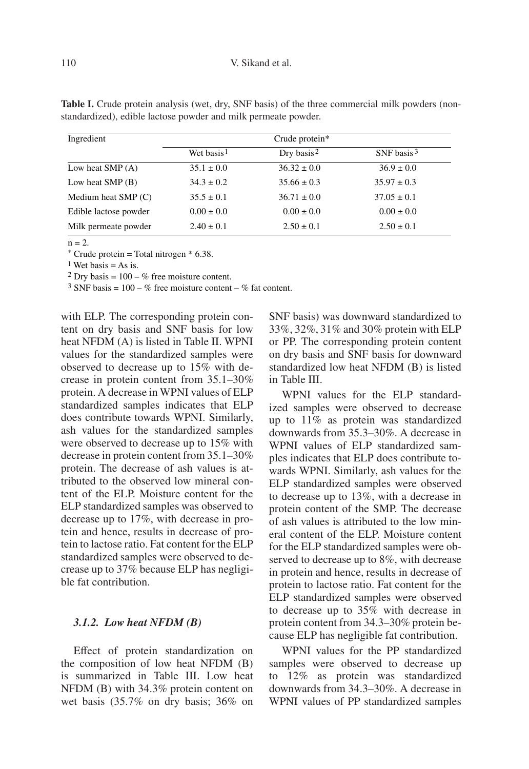| Ingredient            | Crude protein*         |                 |                 |  |  |  |
|-----------------------|------------------------|-----------------|-----------------|--|--|--|
|                       | Wet basis <sup>1</sup> | Dry basis $2$   | $SNF$ basis $3$ |  |  |  |
| Low heat $SMP(A)$     | $35.1 \pm 0.0$         | $36.32 \pm 0.0$ | $36.9 \pm 0.0$  |  |  |  |
| Low heat $SMP(B)$     | $34.3 \pm 0.2$         | $35.66 \pm 0.3$ | $35.97 \pm 0.3$ |  |  |  |
| Medium heat SMP (C)   | $35.5 \pm 0.1$         | $36.71 \pm 0.0$ | $37.05 \pm 0.1$ |  |  |  |
| Edible lactose powder | $0.00 \pm 0.0$         | $0.00 \pm 0.0$  | $0.00 \pm 0.0$  |  |  |  |
| Milk permeate powder  | $2.40 \pm 0.1$         | $2.50 \pm 0.1$  | $2.50 \pm 0.1$  |  |  |  |

**Table I.** Crude protein analysis (wet, dry, SNF basis) of the three commercial milk powders (nonstandardized), edible lactose powder and milk permeate powder.

 $n = 2$ .

 $*$  Crude protein = Total nitrogen  $*$  6.38.

 $1$  Wet basis = As is.

<sup>2</sup> Dry basis = 100 – % free moisture content.<br><sup>3</sup> SNF basis = 100 – % free moisture content – % fat content.

with ELP. The corresponding protein content on dry basis and SNF basis for low heat NFDM (A) is listed in Table II. WPNI values for the standardized samples were observed to decrease up to 15% with decrease in protein content from 35.1–30% protein. A decrease in WPNI values of ELP standardized samples indicates that ELP does contribute towards WPNI. Similarly, ash values for the standardized samples were observed to decrease up to 15% with decrease in protein content from 35.1–30% protein. The decrease of ash values is attributed to the observed low mineral content of the ELP. Moisture content for the ELP standardized samples was observed to decrease up to 17%, with decrease in protein and hence, results in decrease of protein to lactose ratio. Fat content for the ELP standardized samples were observed to decrease up to 37% because ELP has negligible fat contribution.

#### *3.1.2. Low heat NFDM (B)*

Effect of protein standardization on the composition of low heat NFDM (B) is summarized in Table III. Low heat NFDM (B) with 34.3% protein content on wet basis (35.7% on dry basis; 36% on SNF basis) was downward standardized to 33%, 32%, 31% and 30% protein with ELP or PP. The corresponding protein content on dry basis and SNF basis for downward standardized low heat NFDM (B) is listed in Table III.

WPNI values for the ELP standardized samples were observed to decrease up to 11% as protein was standardized downwards from 35.3–30%. A decrease in WPNI values of ELP standardized samples indicates that ELP does contribute towards WPNI. Similarly, ash values for the ELP standardized samples were observed to decrease up to 13%, with a decrease in protein content of the SMP. The decrease of ash values is attributed to the low mineral content of the ELP. Moisture content for the ELP standardized samples were observed to decrease up to 8%, with decrease in protein and hence, results in decrease of protein to lactose ratio. Fat content for the ELP standardized samples were observed to decrease up to 35% with decrease in protein content from 34.3–30% protein because ELP has negligible fat contribution.

WPNI values for the PP standardized samples were observed to decrease up to 12% as protein was standardized downwards from 34.3–30%. A decrease in WPNI values of PP standardized samples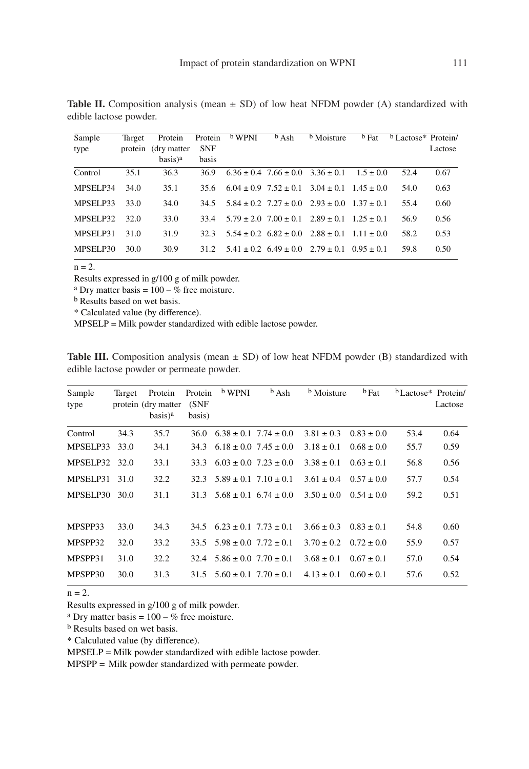| Sample<br>type | Target<br>protein | Protein<br>(dry matter)<br>$basis)^a$ | Protein<br><b>SNF</b><br>basis | <b>b</b> WPNI | <sup>b</sup> Ash                             | <sup>b</sup> Moisture                                       | <sup>b</sup> Fat | <sup>b</sup> Lactose* Protein/ | Lactose |
|----------------|-------------------|---------------------------------------|--------------------------------|---------------|----------------------------------------------|-------------------------------------------------------------|------------------|--------------------------------|---------|
| Control        | 35.1              | 36.3                                  | 36.9                           |               | $6.36 \pm 0.4$ $7.66 \pm 0.0$ $3.36 \pm 0.1$ |                                                             | $1.5 \pm 0.0$    | 52.4                           | 0.67    |
| MPSELP34       | 34.0              | 35.1                                  | 35.6                           |               |                                              | $6.04 \pm 0.9$ $7.52 \pm 0.1$ $3.04 \pm 0.1$ $1.45 \pm 0.0$ |                  | 54.0                           | 0.63    |
| MPSELP33       | 33.0              | 34.0                                  | 34.5                           |               | $5.84 \pm 0.2$ $7.27 \pm 0.0$ $2.93 \pm 0.0$ |                                                             | $137 + 01$       | 55.4                           | 0.60    |
| MPSELP32       | 32.0              | 33.0                                  | 334                            |               |                                              | $5.79 \pm 2.0$ $7.00 \pm 0.1$ $2.89 \pm 0.1$ $1.25 \pm 0.1$ |                  | 56.9                           | 0.56    |
| MPSELP31       | 31.0              | 31.9                                  | 32.3                           |               | $5.54 \pm 0.2$ 6.82 $\pm$ 0.0 2.88 $\pm$ 0.1 |                                                             | $1.11 \pm 0.0$   | 58.2                           | 0.53    |
| MPSELP30       | 30.0              | 30.9                                  | 31 2                           |               | $5.41 \pm 0.2$ 6.49 $\pm$ 0.0 2.79 $\pm$ 0.1 |                                                             | $0.95 + 0.1$     | 59.8                           | 0.50    |

**Table II.** Composition analysis (mean  $\pm$  SD) of low heat NFDM powder (A) standardized with edible lactose powder.

 $n = 2$ .<br>Results expressed in g/100 g of milk powder.

<sup>a</sup> Dry matter basis = 100 – % free moisture. b Results based on wet basis.

\* Calculated value (by difference).

MPSELP = Milk powder standardized with edible lactose powder.

**Table III.** Composition analysis (mean  $\pm$  SD) of low heat NFDM powder (B) standardized with edible lactose powder or permeate powder.

| Sample        | Target | Protein             | Protein | <b>b</b> WPNI                 | $b$ Ash                              | <sup>b</sup> Moisture         | <sup>b</sup> Fat | <sup>b</sup> Lactose* Protein/ |         |
|---------------|--------|---------------------|---------|-------------------------------|--------------------------------------|-------------------------------|------------------|--------------------------------|---------|
| type          |        | protein (dry matter | (SNF)   |                               |                                      |                               |                  |                                | Lactose |
|               |        | basis) <sup>a</sup> | basis)  |                               |                                      |                               |                  |                                |         |
| Control       | 34.3   | 35.7                | 36.0    |                               | $6.38 \pm 0.1$ $7.74 \pm 0.0$        | $3.81 \pm 0.3$                | $0.83 \pm 0.0$   | 53.4                           | 0.64    |
| MPSELP33 33.0 |        | 34.1                |         |                               | 34.3 $6.18 \pm 0.0$ $7.45 \pm 0.0$   | $3.18 \pm 0.1$                | $0.68 \pm 0.0$   | 55.7                           | 0.59    |
| MPSELP32 32.0 |        | 33.1                | 33.3    |                               | $6.03 \pm 0.0$ $7.23 \pm 0.0$        | $3.38 \pm 0.1$                | $0.63 \pm 0.1$   | 56.8                           | 0.56    |
| MPSELP31 31.0 |        | 32.2                | 32.3    | $5.89 \pm 0.1$ $7.10 \pm 0.1$ |                                      | $3.61 \pm 0.4$ $0.57 \pm 0.0$ |                  | 57.7                           | 0.54    |
| MPSELP30 30.0 |        | 31.1                |         |                               | $31.3$ $5.68 \pm 0.1$ $6.74 \pm 0.0$ | $3.50 \pm 0.0$                | $0.54 \pm 0.0$   | 59.2                           | 0.51    |
|               |        |                     |         |                               |                                      |                               |                  |                                |         |
| MPSPP33       | 33.0   | 34.3                | 34.5    |                               | $6.23 \pm 0.1$ $7.73 \pm 0.1$        | $3.66 \pm 0.3$                | $0.83 \pm 0.1$   | 54.8                           | 0.60    |
| MPSPP32       | 32.0   | 33.2                | 33.5    | $5.98 \pm 0.0$ $7.72 \pm 0.1$ |                                      | $3.70 \pm 0.2$                | $0.72 \pm 0.0$   | 55.9                           | 0.57    |
| MPSPP31       | 31.0   | 32.2                | 32.4    | $5.86 \pm 0.0$ $7.70 \pm 0.1$ |                                      | $3.68 \pm 0.1$                | $0.67 \pm 0.1$   | 57.0                           | 0.54    |
| MPSPP30       | 30.0   | 31.3                | 31.5    |                               | $5.60 \pm 0.1$ $7.70 \pm 0.1$        | $4.13 \pm 0.1$                | $0.60 \pm 0.1$   | 57.6                           | 0.52    |

 $n = 2$ .

Results expressed in g/100 g of milk powder.<br>a Dry matter basis =  $100 - %$  free moisture.

b Results based on wet basis.

\* Calculated value (by difference).

MPSELP = Milk powder standardized with edible lactose powder.

MPSPP = Milk powder standardized with permeate powder.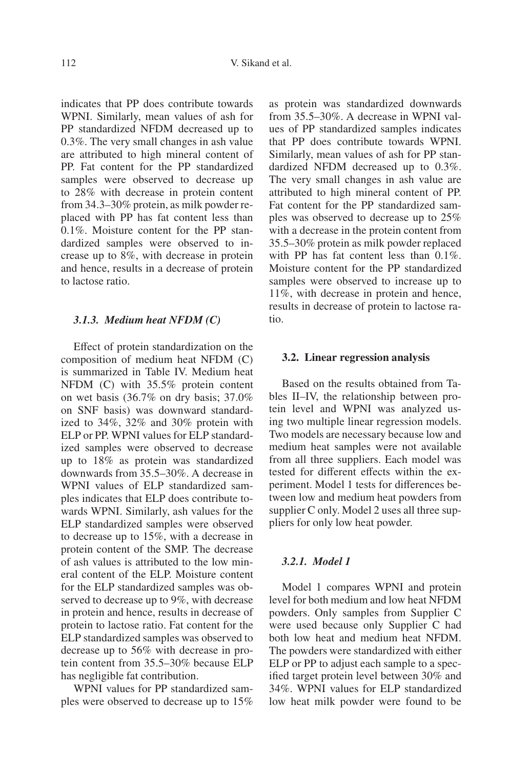indicates that PP does contribute towards WPNI. Similarly, mean values of ash for PP standardized NFDM decreased up to 0.3%. The very small changes in ash value are attributed to high mineral content of PP. Fat content for the PP standardized samples were observed to decrease up to 28% with decrease in protein content from 34.3–30% protein, as milk powder replaced with PP has fat content less than 0.1%. Moisture content for the PP standardized samples were observed to increase up to 8%, with decrease in protein and hence, results in a decrease of protein to lactose ratio.

#### *3.1.3. Medium heat NFDM (C)*

Effect of protein standardization on the composition of medium heat NFDM (C) is summarized in Table IV. Medium heat NFDM (C) with 35.5% protein content on wet basis (36.7% on dry basis; 37.0% on SNF basis) was downward standardized to 34%, 32% and 30% protein with ELP or PP. WPNI values for ELP standardized samples were observed to decrease up to 18% as protein was standardized downwards from 35.5–30%. A decrease in WPNI values of ELP standardized samples indicates that ELP does contribute towards WPNI. Similarly, ash values for the ELP standardized samples were observed to decrease up to 15%, with a decrease in protein content of the SMP. The decrease of ash values is attributed to the low mineral content of the ELP. Moisture content for the ELP standardized samples was observed to decrease up to 9%, with decrease in protein and hence, results in decrease of protein to lactose ratio. Fat content for the ELP standardized samples was observed to decrease up to 56% with decrease in protein content from 35.5–30% because ELP has negligible fat contribution.

WPNI values for PP standardized samples were observed to decrease up to 15%

as protein was standardized downwards from 35.5–30%. A decrease in WPNI values of PP standardized samples indicates that PP does contribute towards WPNI. Similarly, mean values of ash for PP standardized NFDM decreased up to 0.3%. The very small changes in ash value are attributed to high mineral content of PP. Fat content for the PP standardized samples was observed to decrease up to 25% with a decrease in the protein content from 35.5–30% protein as milk powder replaced with PP has fat content less than 0.1%. Moisture content for the PP standardized samples were observed to increase up to 11%, with decrease in protein and hence, results in decrease of protein to lactose ratio.

#### **3.2. Linear regression analysis**

Based on the results obtained from Tables II–IV, the relationship between protein level and WPNI was analyzed using two multiple linear regression models. Two models are necessary because low and medium heat samples were not available from all three suppliers. Each model was tested for different effects within the experiment. Model 1 tests for differences between low and medium heat powders from supplier C only. Model 2 uses all three suppliers for only low heat powder.

#### *3.2.1. Model 1*

Model 1 compares WPNI and protein level for both medium and low heat NFDM powders. Only samples from Supplier C were used because only Supplier C had both low heat and medium heat NFDM. The powders were standardized with either ELP or PP to adjust each sample to a specified target protein level between 30% and 34%. WPNI values for ELP standardized low heat milk powder were found to be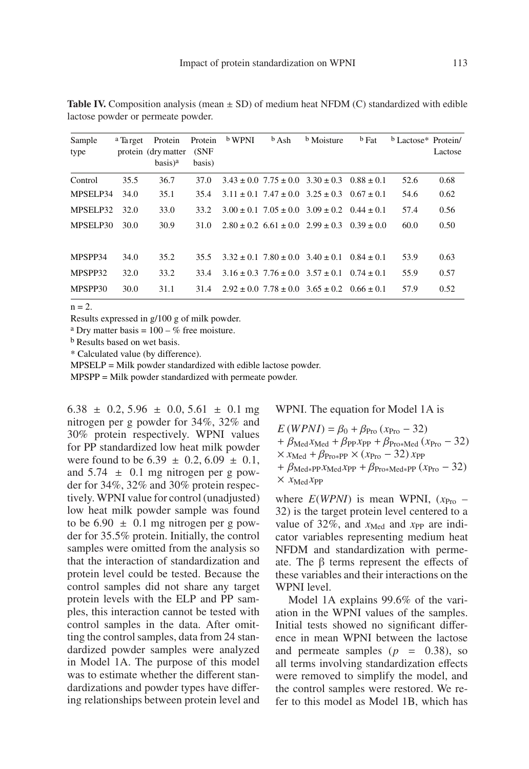| Sample<br>type | <sup>a</sup> Target | Protein<br>protein (dry matter)<br>basis) <sup>a</sup> | Protein<br>(SNF)<br>basis) | <b>b</b> WPNI | <sup>b</sup> Ash                             | <sup>b</sup> Moisture                                       | <sup>b</sup> Fat | <sup>b</sup> Lactose* Protein/ | Lactose |
|----------------|---------------------|--------------------------------------------------------|----------------------------|---------------|----------------------------------------------|-------------------------------------------------------------|------------------|--------------------------------|---------|
| Control        | 35.5                | 36.7                                                   | 37.0                       |               |                                              | $3.43 \pm 0.0$ $7.75 \pm 0.0$ $3.30 \pm 0.3$                | $0.88 \pm 0.1$   | 52.6                           | 0.68    |
| MPSELP34       | 34.0                | 35.1                                                   | 35.4                       |               |                                              | $3.11 \pm 0.1$ $7.47 \pm 0.0$ $3.25 \pm 0.3$ $0.67 \pm 0.1$ |                  | 54.6                           | 0.62    |
| MPSELP32       | 32.0                | 33.0                                                   | 33.2                       |               |                                              | $3.00 \pm 0.1$ $7.05 \pm 0.0$ $3.09 \pm 0.2$ $0.44 \pm 0.1$ |                  | 57.4                           | 0.56    |
| MPSELP30       | 30.0                | 30.9                                                   | 31.0                       |               |                                              | $2.80 \pm 0.2$ 6.61 $\pm 0.0$ 2.99 $\pm 0.3$ 0.39 $\pm 0.0$ |                  | 60.0                           | 0.50    |
| MPSPP34        | 34.0                | 35.2                                                   | 35.5                       |               | $3.32 \pm 0.1$ $7.80 \pm 0.0$ $3.40 \pm 0.1$ |                                                             | $0.84 \pm 0.1$   | 53.9                           | 0.63    |
| MPSPP32        | 32.0                | 33.2                                                   | 33.4                       |               |                                              | $3.16 \pm 0.3$ $7.76 \pm 0.0$ $3.57 \pm 0.1$                | $0.74 + 0.1$     | 55.9                           | 0.57    |
| MPSPP30        | 30.0                | 31.1                                                   | 31.4                       |               |                                              | $2.92 \pm 0.0$ $7.78 \pm 0.0$ $3.65 \pm 0.2$ $0.66 \pm 0.1$ |                  | 57.9                           | 0.52    |

**Table IV.** Composition analysis (mean  $\pm$  SD) of medium heat NFDM (C) standardized with edible lactose powder or permeate powder.

 $n = 2$ .

Results expressed in g/100 g of milk powder.<br>a Dry matter basis =  $100 - %$  free moisture.

b Results based on wet basis.

\* Calculated value (by difference).

MPSELP = Milk powder standardized with edible lactose powder.

MPSPP = Milk powder standardized with permeate powder.

 $6.38 \pm 0.2, 5.96 \pm 0.0, 5.61 \pm 0.1$  mg nitrogen per g powder for 34%, 32% and 30% protein respectively. WPNI values for PP standardized low heat milk powder were found to be  $6.39 \pm 0.2, 6.09 \pm 0.1$ , and  $5.74 \pm 0.1$  mg nitrogen per g powder for 34%, 32% and 30% protein respectively. WPNI value for control (unadjusted) low heat milk powder sample was found to be  $6.90 \pm 0.1$  mg nitrogen per g powder for 35.5% protein. Initially, the control samples were omitted from the analysis so that the interaction of standardization and protein level could be tested. Because the control samples did not share any target protein levels with the ELP and PP samples, this interaction cannot be tested with control samples in the data. After omitting the control samples, data from 24 standardized powder samples were analyzed in Model 1A. The purpose of this model was to estimate whether the different standardizations and powder types have differing relationships between protein level and WPNI. The equation for Model 1A is

 $E(WPNI) = \beta_0 + \beta_{Pro}(x_{Pro} - 32)$  $+ \beta_{Med} x_{Med} + \beta_{PP} x_{PP} + \beta_{Pro*Med} (x_{Pro} - 32)$ 

 $\times x_{Med} + \beta_{Pro*PP} \times (x_{Pro} - 32) x_{PP}$ 

 $+ \beta_{Med*PP} x_{Med} x_{PP} + \beta_{Pro*Med*PP} (x_{Pro} - 32)$  $\times$   $x_{Med}$ *x*<sub>PP</sub>

where  $E(WPNI)$  is mean WPNI,  $(x_{Pro}$  – 32) is the target protein level centered to a value of 32%, and  $x_{Med}$  and  $x_{PP}$  are indicator variables representing medium heat NFDM and standardization with permeate. The β terms represent the effects of these variables and their interactions on the WPNI level.

Model 1A explains 99.6% of the variation in the WPNI values of the samples. Initial tests showed no significant difference in mean WPNI between the lactose and permeate samples  $(p = 0.38)$ , so all terms involving standardization effects were removed to simplify the model, and the control samples were restored. We refer to this model as Model 1B, which has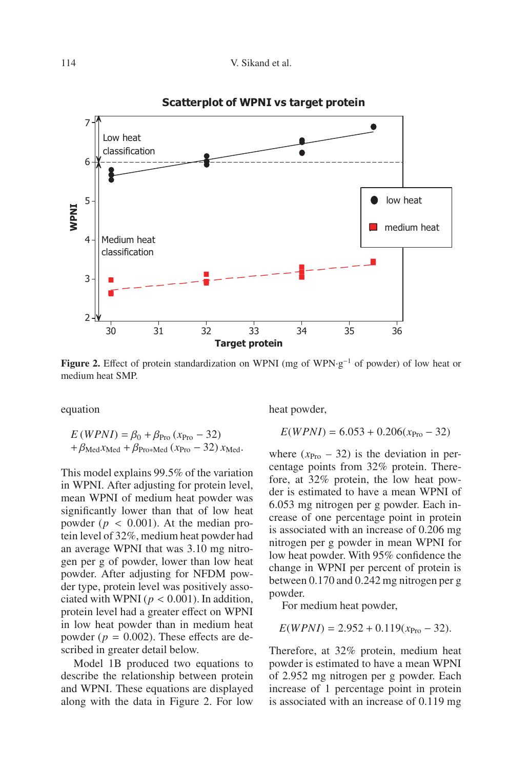

**Figure 2.** Effect of protein standardization on WPNI (mg of WPN·g−<sup>1</sup> of powder) of low heat or medium heat SMP.

equation

$$
E (WPNI) = \beta_0 + \beta_{Pro} (x_{Pro} - 32)
$$
  
+  $\beta_{Med} x_{Med} + \beta_{Pro*Med} (x_{Pro} - 32) x_{Med}.$ 

This model explains 99.5% of the variation in WPNI. After adjusting for protein level, mean WPNI of medium heat powder was significantly lower than that of low heat powder ( $p < 0.001$ ). At the median protein level of 32%, medium heat powder had an average WPNI that was 3.10 mg nitrogen per g of powder, lower than low heat powder. After adjusting for NFDM powder type, protein level was positively associated with WPNI ( $p < 0.001$ ). In addition, protein level had a greater effect on WPNI in low heat powder than in medium heat powder ( $p = 0.002$ ). These effects are described in greater detail below.

Model 1B produced two equations to describe the relationship between protein and WPNI. These equations are displayed along with the data in Figure 2. For low heat powder,

$$
E(WPNI) = 6.053 + 0.206(x_{\text{Pro}} - 32)
$$

where  $(x_{Pro} - 32)$  is the deviation in percentage points from 32% protein. Therefore, at 32% protein, the low heat powder is estimated to have a mean WPNI of 6.053 mg nitrogen per g powder. Each increase of one percentage point in protein is associated with an increase of 0.206 mg nitrogen per g powder in mean WPNI for low heat powder. With 95% confidence the change in WPNI per percent of protein is between 0.170 and 0.242 mg nitrogen per g powder.

For medium heat powder,

$$
E(WPNI) = 2.952 + 0.119(x_{Pro} - 32).
$$

Therefore, at 32% protein, medium heat powder is estimated to have a mean WPNI of 2.952 mg nitrogen per g powder. Each increase of 1 percentage point in protein is associated with an increase of 0.119 mg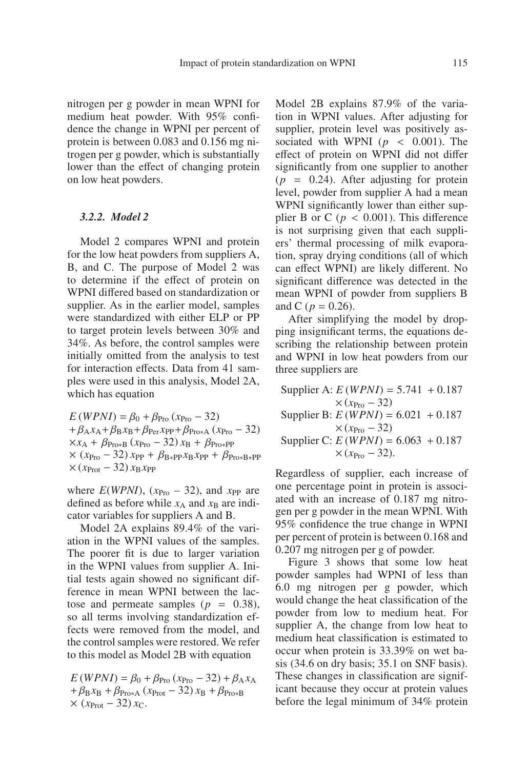nitrogen per g powder in mean WPNI for medium heat powder. With 95% confidence the change in WPNI per percent of protein is between 0.083 and 0.156 mg nitrogen per g powder, which is substantially lower than the effect of changing protein on low heat powders.

#### *3.2.2. Model 2*

Model 2 compares WPNI and protein for the low heat powders from suppliers A, B, and C. The purpose of Model 2 was to determine if the effect of protein on WPNI differed based on standardization or supplier. As in the earlier model, samples were standardized with either ELP or PP to target protein levels between 30% and 34%. As before, the control samples were initially omitted from the analysis to test for interaction effects. Data from 41 samples were used in this analysis, Model 2A, which has equation

 $E(WPNI) = \beta_0 + \beta_{Pro}(x_{Pro} - 32)$  $+ \beta_A x_A + \beta_B x_B + \beta_{Per} x_{PP} + \beta_{Pro*A} (x_{Pro} - 32)$  $\times x_A + \beta_{\text{Pro}*B} (x_{\text{Pro}} - 32) x_B + \beta_{\text{Pro}*PP}$  $\times$  ( $x_{\text{Pro}} - 32$ )  $x_{\text{PP}} + \beta_{\text{B*PP}} x_{\text{B}} x_{\text{PP}} + \beta_{\text{Pro*B*PP}}$  $\times$  ( $x_{\text{Prot}}$  – 32)  $x_{\text{B}}x_{\text{PP}}$ 

where  $E(WPNI)$ ,  $(x_{Pro} - 32)$ , and  $x_{PP}$  are defined as before while  $x_A$  and  $x_B$  are indicator variables for suppliers A and B.

Model 2A explains 89.4% of the variation in the WPNI values of the samples. The poorer fit is due to larger variation in the WPNI values from supplier A. Initial tests again showed no significant difference in mean WPNI between the lactose and permeate samples  $(p = 0.38)$ , so all terms involving standardization effects were removed from the model, and the control samples were restored. We refer to this model as Model 2B with equation

 $E(WPNI) = \beta_0 + \beta_{Pro}(x_{Pro} - 32) + \beta_A x_A$  $+ \beta_B x_B + \beta_{Pro*A} (x_{Prot} - 32) x_B + \beta_{Pro*B}$  $\times$  ( $x_{\text{Prot}}$  – 32)  $x_{\text{C}}$ .

Model 2B explains 87.9% of the variation in WPNI values. After adjusting for supplier, protein level was positively associated with WPNI ( $p \leq 0.001$ ). The effect of protein on WPNI did not differ significantly from one supplier to another  $(p = 0.24)$ . After adjusting for protein level, powder from supplier A had a mean WPNI significantly lower than either supplier B or C ( $p < 0.001$ ). This difference is not surprising given that each suppliers' thermal processing of milk evaporation, spray drying conditions (all of which can effect WPNI) are likely different. No significant difference was detected in the mean WPNI of powder from suppliers B and C ( $p = 0.26$ ).

After simplifying the model by dropping insignificant terms, the equations describing the relationship between protein and WPNI in low heat powders from our three suppliers are

Supplier A:  $E(WPNI) = 5.741 + 0.187$  $\times (x_{Pro} - 32)$ Supplier B:  $E (WPNI) = 6.021 + 0.187$  $\times (x_{\text{Pro}} - 32)$ Supplier C:  $E(WPNI) = 6.063 + 0.187$  $\times (x_{\text{Pro}} - 32).$ 

Regardless of supplier, each increase of one percentage point in protein is associated with an increase of 0.187 mg nitrogen per g powder in the mean WPNI. With 95% confidence the true change in WPNI per percent of protein is between 0.168 and 0.207 mg nitrogen per g of powder.

Figure 3 shows that some low heat powder samples had WPNI of less than 6.0 mg nitrogen per g powder, which would change the heat classification of the powder from low to medium heat. For supplier A, the change from low heat to medium heat classification is estimated to occur when protein is 33.39% on wet basis (34.6 on dry basis; 35.1 on SNF basis). These changes in classification are significant because they occur at protein values before the legal minimum of 34% protein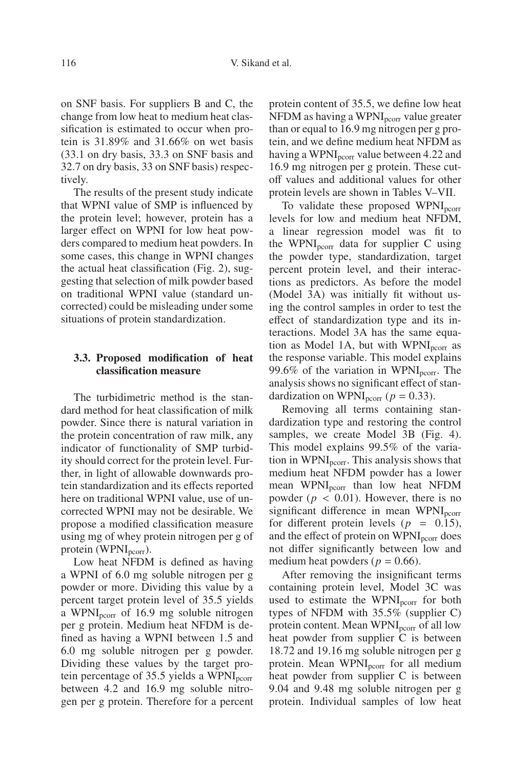on SNF basis. For suppliers B and C, the change from low heat to medium heat classification is estimated to occur when protein is 31.89% and 31.66% on wet basis (33.1 on dry basis, 33.3 on SNF basis and 32.7 on dry basis, 33 on SNF basis) respectively.

The results of the present study indicate that WPNI value of SMP is influenced by the protein level; however, protein has a larger effect on WPNI for low heat powders compared to medium heat powders. In some cases, this change in WPNI changes the actual heat classification (Fig. 2), suggesting that selection of milk powder based on traditional WPNI value (standard uncorrected) could be misleading under some situations of protein standardization.

# **3.3. Proposed modification of heat classification measure**

The turbidimetric method is the standard method for heat classification of milk powder. Since there is natural variation in the protein concentration of raw milk, any indicator of functionality of SMP turbidity should correct for the protein level. Further, in light of allowable downwards protein standardization and its effects reported here on traditional WPNI value, use of uncorrected WPNI may not be desirable. We propose a modified classification measure using mg of whey protein nitrogen per g of protein (WPNI<sub>pcorr</sub>).

Low heat NFDM is defined as having a WPNI of 6.0 mg soluble nitrogen per g powder or more. Dividing this value by a percent target protein level of 35.5 yields a WPNIpcorr of 16.9 mg soluble nitrogen per g protein. Medium heat NFDM is defined as having a WPNI between 1.5 and 6.0 mg soluble nitrogen per g powder. Dividing these values by the target protein percentage of 35.5 yields a WPNI<sub>pcorr</sub> between 4.2 and 16.9 mg soluble nitrogen per g protein. Therefore for a percent

protein content of 35.5, we define low heat NFDM as having a WPNI<sub>pcorr</sub> value greater than or equal to 16.9 mg nitrogen per g protein, and we define medium heat NFDM as having a WPNI<sub>pcorr</sub> value between 4.22 and 16.9 mg nitrogen per g protein. These cutoff values and additional values for other protein levels are shown in Tables V–VII.

To validate these proposed  $WPNI_{ncorr}$ levels for low and medium heat NFDM, a linear regression model was fit to the WPNIpcorr data for supplier C using the powder type, standardization, target percent protein level, and their interactions as predictors. As before the model (Model 3A) was initially fit without using the control samples in order to test the effect of standardization type and its interactions. Model 3A has the same equation as Model 1A, but with  $WPNI_{\text{pcorr}}$  as the response variable. This model explains 99.6% of the variation in WPNI<sub>pcorr</sub>. The analysis shows no significant effect of standardization on WPNI<sub>pcorr</sub> ( $p = 0.33$ ).

Removing all terms containing standardization type and restoring the control samples, we create Model 3B (Fig. 4). This model explains 99.5% of the variation in WPNI<sub>pcorr</sub>. This analysis shows that medium heat NFDM powder has a lower mean WPNI<sub>pcorr</sub> than low heat NFDM powder ( $p < 0.01$ ). However, there is no significant difference in mean  $WPNI_{\text{ncorr}}$ for different protein levels ( $p = 0.15$ ), and the effect of protein on WPNI<sub>pcorr</sub> does not differ significantly between low and medium heat powders ( $p = 0.66$ ).

After removing the insignificant terms containing protein level, Model 3C was used to estimate the  $WPNI_{\text{pcorr}}$  for both types of NFDM with 35.5% (supplier C) protein content. Mean WPNI<sub>pcorr</sub> of all low heat powder from supplier C is between 18.72 and 19.16 mg soluble nitrogen per g protein. Mean WPNI<sub>pcorr</sub> for all medium heat powder from supplier C is between 9.04 and 9.48 mg soluble nitrogen per g protein. Individual samples of low heat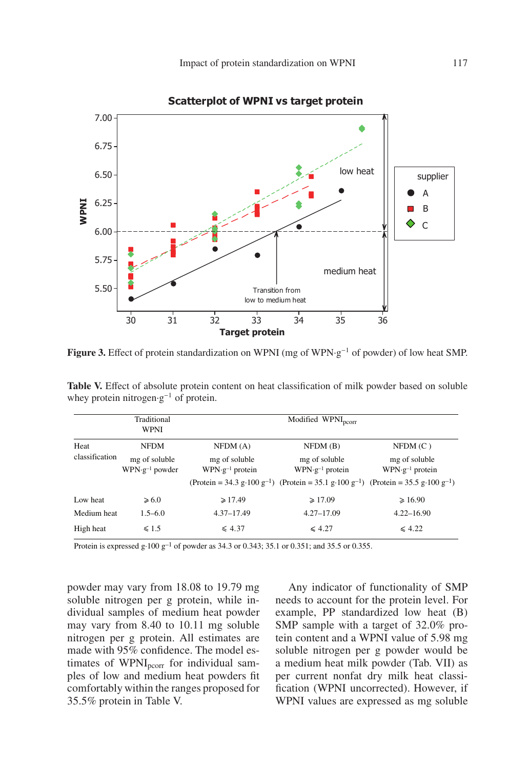

# **Scatterplot of WPNI vs target protein**

**Figure 3.** Effect of protein standardization on WPNI (mg of WPN·g−<sup>1</sup> of powder) of low heat SMP.

**Table V.** Effect of absolute protein content on heat classification of milk powder based on soluble whey protein nitrogen·g−<sup>1</sup> of protein.

|                | Traditional<br><b>WPNI</b>                 |                                             | Modified WPNI <sub>pcorr</sub>                                              |                                             |
|----------------|--------------------------------------------|---------------------------------------------|-----------------------------------------------------------------------------|---------------------------------------------|
| Heat           | <b>NFDM</b>                                | NFDM(A)                                     | NFDM(B)                                                                     | NFDM(C)                                     |
| classification | mg of soluble<br>$WPN \cdot g^{-1}$ powder | mg of soluble<br>$WPN \cdot g^{-1}$ protein | mg of soluble<br>$WPN \cdot g^{-1}$ protein                                 | mg of soluble<br>$WPN \cdot g^{-1}$ protein |
|                |                                            |                                             | $(Protein = 34.3 g \cdot 100 g^{-1})$ $(Protein = 35.1 g \cdot 100 g^{-1})$ | (Protein = 35.5 g·100 g <sup>-1</sup> )     |
| Low heat       | $\ge 6.0$                                  | >17.49                                      | $\geq 17.09$                                                                | $\geq 16.90$                                |
| Medium heat    | $1.5 - 6.0$                                | $4.37 - 17.49$                              | $4.27 - 17.09$                                                              | $4.22 - 16.90$                              |
| High heat      | $\leq 1.5$                                 | $\leq 4.37$                                 | $\leq 4.27$                                                                 | $\leq 4.22$                                 |

Protein is expressed g·100 g–1 of powder as 34.3 or 0.343; 35.1 or 0.351; and 35.5 or 0.355.

powder may vary from 18.08 to 19.79 mg soluble nitrogen per g protein, while individual samples of medium heat powder may vary from 8.40 to 10.11 mg soluble nitrogen per g protein. All estimates are made with 95% confidence. The model estimates of WPNI<sub>pcorr</sub> for individual samples of low and medium heat powders fit comfortably within the ranges proposed for 35.5% protein in Table V.

Any indicator of functionality of SMP needs to account for the protein level. For example, PP standardized low heat (B) SMP sample with a target of 32.0% protein content and a WPNI value of 5.98 mg soluble nitrogen per g powder would be a medium heat milk powder (Tab. VII) as per current nonfat dry milk heat classification (WPNI uncorrected). However, if WPNI values are expressed as mg soluble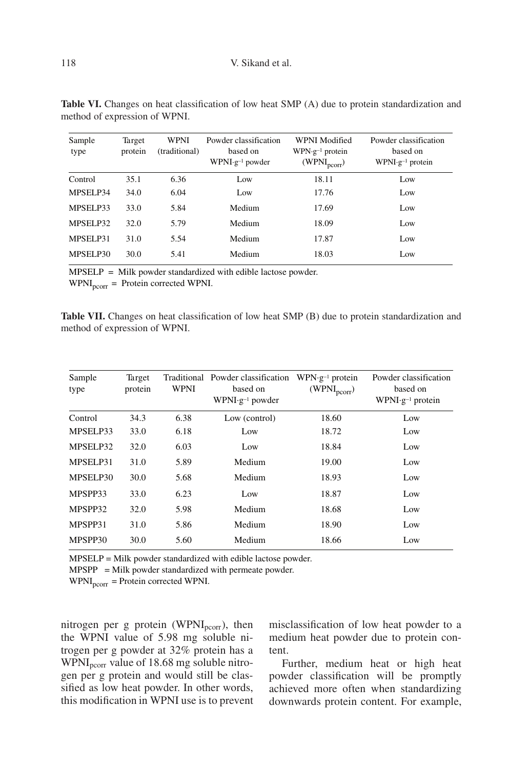| Sample<br>type | Target<br>protein | <b>WPNI</b><br>(traditional) | Powder classification<br>based on<br>$WPNI·g-1 power$ | WPNI Modified<br>$WPN \cdot g^{-1}$ protein<br>$(WPNI_{pcorr})$ | Powder classification<br>based on<br>$WPNI·g-1$ protein |
|----------------|-------------------|------------------------------|-------------------------------------------------------|-----------------------------------------------------------------|---------------------------------------------------------|
| Control        | 35.1              | 6.36                         | Low                                                   | 18.11                                                           | Low                                                     |
| MPSELP34       | 34.0              | 6.04                         | Low                                                   | 17.76                                                           | Low                                                     |
| MPSELP33       | 33.0              | 5.84                         | Medium                                                | 17.69                                                           | Low                                                     |
| MPSELP32       | 32.0              | 5.79                         | Medium                                                | 18.09                                                           | Low                                                     |
| MPSELP31       | 31.0              | 5.54                         | Medium                                                | 17.87                                                           | Low                                                     |
| MPSELP30       | 30.0              | 5.41                         | Medium                                                | 18.03                                                           | Low                                                     |

**Table VI.** Changes on heat classification of low heat SMP (A) due to protein standardization and method of expression of WPNI.

MPSELP = Milk powder standardized with edible lactose powder.

 $WPNI_{\text{ncorr}}$  = Protein corrected WPNI.

**Table VII.** Changes on heat classification of low heat SMP (B) due to protein standardization and method of expression of WPNI.

| Sample<br>type | Target<br>protein | WPNI | Traditional Powder classification<br>based on<br>WPNI-g <sup>-1</sup> powder | $WPN \cdot g^{-1}$ protein<br>$(WPNI_{pcorr})$ | Powder classification<br>based on<br>$WPNI·g-1 protein$ |
|----------------|-------------------|------|------------------------------------------------------------------------------|------------------------------------------------|---------------------------------------------------------|
| Control        | 34.3              | 6.38 | Low (control)                                                                | 18.60                                          | Low                                                     |
| MPSELP33       | 33.0              | 6.18 | Low                                                                          | 18.72                                          | Low                                                     |
| MPSELP32       | 32.0              | 6.03 | Low                                                                          | 18.84                                          | Low                                                     |
| MPSELP31       | 31.0              | 5.89 | Medium                                                                       | 19.00                                          | Low                                                     |
| MPSELP30       | 30.0              | 5.68 | Medium                                                                       | 18.93                                          | Low                                                     |
| MPSPP33        | 33.0              | 6.23 | Low                                                                          | 18.87                                          | Low                                                     |
| MPSPP32        | 32.0              | 5.98 | Medium                                                                       | 18.68                                          | Low                                                     |
| MPSPP31        | 31.0              | 5.86 | Medium                                                                       | 18.90                                          | Low                                                     |
| MPSPP30        | 30.0              | 5.60 | Medium                                                                       | 18.66                                          | Low                                                     |

MPSELP = Milk powder standardized with edible lactose powder.

MPSPP = Milk powder standardized with permeate powder.

 $WPNI_{\text{pcorr}} = \text{Protein corrected WPNI}.$ 

nitrogen per g protein (WPNI<sub>pcorr</sub>), then the WPNI value of 5.98 mg soluble nitrogen per g powder at 32% protein has a WPNIpcorr value of 18.68 mg soluble nitrogen per g protein and would still be classified as low heat powder. In other words, this modification in WPNI use is to prevent misclassification of low heat powder to a medium heat powder due to protein content.

Further, medium heat or high heat powder classification will be promptly achieved more often when standardizing downwards protein content. For example,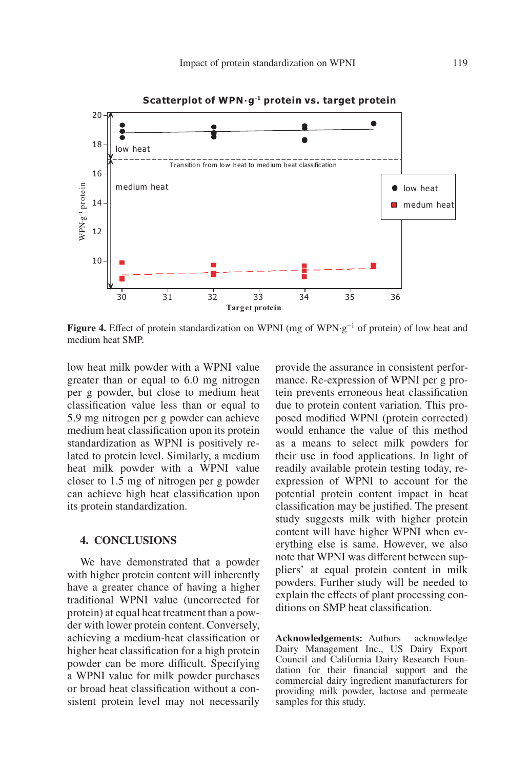

**Figure 4.** Effect of protein standardization on WPNI (mg of WPN·g−<sup>1</sup> of protein) of low heat and medium heat SMP.

low heat milk powder with a WPNI value greater than or equal to 6.0 mg nitrogen per g powder, but close to medium heat classification value less than or equal to 5.9 mg nitrogen per g powder can achieve medium heat classification upon its protein standardization as WPNI is positively related to protein level. Similarly, a medium heat milk powder with a WPNI value closer to 1.5 mg of nitrogen per g powder can achieve high heat classification upon its protein standardization.

#### **4. CONCLUSIONS**

We have demonstrated that a powder with higher protein content will inherently have a greater chance of having a higher traditional WPNI value (uncorrected for protein) at equal heat treatment than a powder with lower protein content. Conversely, achieving a medium-heat classification or higher heat classification for a high protein powder can be more difficult. Specifying a WPNI value for milk powder purchases or broad heat classification without a consistent protein level may not necessarily provide the assurance in consistent performance. Re-expression of WPNI per g protein prevents erroneous heat classification due to protein content variation. This proposed modified WPNI (protein corrected) would enhance the value of this method as a means to select milk powders for their use in food applications. In light of readily available protein testing today, reexpression of WPNI to account for the potential protein content impact in heat classification may be justified. The present study suggests milk with higher protein content will have higher WPNI when everything else is same. However, we also note that WPNI was different between suppliers' at equal protein content in milk powders. Further study will be needed to explain the effects of plant processing conditions on SMP heat classification.

**Acknowledgements:** Authors acknowledge Dairy Management Inc., US Dairy Export Council and California Dairy Research Foundation for their financial support and the commercial dairy ingredient manufacturers for providing milk powder, lactose and permeate samples for this study.